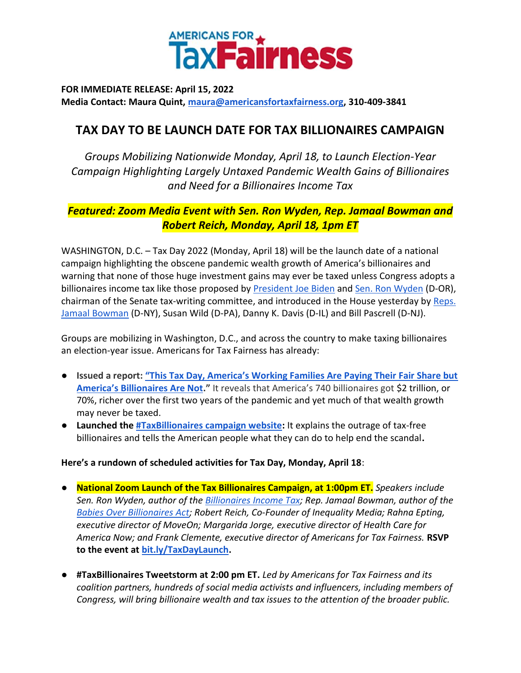

**FOR IMMEDIATE RELEASE: April 15, 2022 Media Contact: Maura Quint, maura@americansfortaxfairness.org, 310-409-3841** 

## **TAX DAY TO BE LAUNCH DATE FOR TAX BILLIONAIRES CAMPAIGN**

*Groups Mobilizing Nationwide Monday, April 18, to Launch Election-Year Campaign Highlighting Largely Untaxed Pandemic Wealth Gains of Billionaires and Need for a Billionaires Income Tax*

## *Featured: Zoom Media Event with Sen. Ron Wyden, Rep. Jamaal Bowman and Robert Reich, Monday, April 18, 1pm ET*

WASHINGTON, D.C. – Tax Day 2022 (Monday, April 18) will be the launch date of a national campaign highlighting the obscene pandemic wealth growth of America's billionaires and warning that none of those huge investment gains may ever be taxed unless Congress adopts a billionaires income tax like those proposed by [President Joe Biden](https://www.whitehouse.gov/omb/briefing-room/2022/03/28/presidents-budget-rewards-work-not-wealth-with-new-billionaire-minimum-income-tax/) and [Sen. Ron Wyden](https://www.finance.senate.gov/chairmans-news/wyden-unveils-billionaires-income-tax) (D-OR), chairman of the Senate tax-writing committee, and introduced in the House yesterday by [Reps.](https://bowman.house.gov/press-releases?ID=AB67461D-540C-4660-8F3E-F665BE5F3777)  [Jamaal Bowman](https://bowman.house.gov/press-releases?ID=AB67461D-540C-4660-8F3E-F665BE5F3777) (D-NY), Susan Wild (D-PA), Danny K. Davis (D-IL) and Bill Pascrell (D-NJ).

Groups are mobilizing in Washington, D.C., and across the country to make taxing billionaires an election-year issue. Americans for Tax Fairness has already:

- **Issued a report: ["This Tax Day, America's Working Families Are Paying Their Fair Share but](https://americansfortaxfairness.org/issue/tax-day-americas-working-families-paying-fair-share-americas-billionaires-not/)  [America's Billionaires Are Not.](https://americansfortaxfairness.org/issue/tax-day-americas-working-families-paying-fair-share-americas-billionaires-not/)"** It reveals that America's 740 billionaires got \$2 trillion, or 70%, richer over the first two years of the pandemic and yet much of that wealth growth may never be taxed.
- **Launched the [#TaxBillionaires campaign website:](https://billionairestax.org/)** It explains the outrage of tax-free billionaires and tells the American people what they can do to help end the scandal**.**

## **Here's a rundown of scheduled activities for Tax Day, Monday, April 18**:

- **National Zoom Launch of the Tax Billionaires Campaign, at 1:00pm ET.** *Speakers include Sen. Ron Wyden, author of the [Billionaires Income Tax;](https://www.finance.senate.gov/chairmans-news/wyden-unveils-billionaires-income-tax) Rep. Jamaal Bowman, author of the [Babies Over Billionaires Act;](https://bowman.house.gov/press-releases?ID=AB67461D-540C-4660-8F3E-F665BE5F3777) Robert Reich, Co-Founder of Inequality Media; Rahna Epting, executive director of MoveOn; Margarida Jorge, executive director of Health Care for America Now; and Frank Clemente, executive director of Americans for Tax Fairness.* **RSVP to the event at [bit.ly/TaxDayLaunch.](http://bit.ly/TaxDayLaunch)**
- **#TaxBillionaires Tweetstorm at 2:00 pm ET.** *Led by Americans for Tax Fairness and its coalition partners, hundreds of social media activists and influencers, including members of Congress, will bring billionaire wealth and tax issues to the attention of the broader public.*